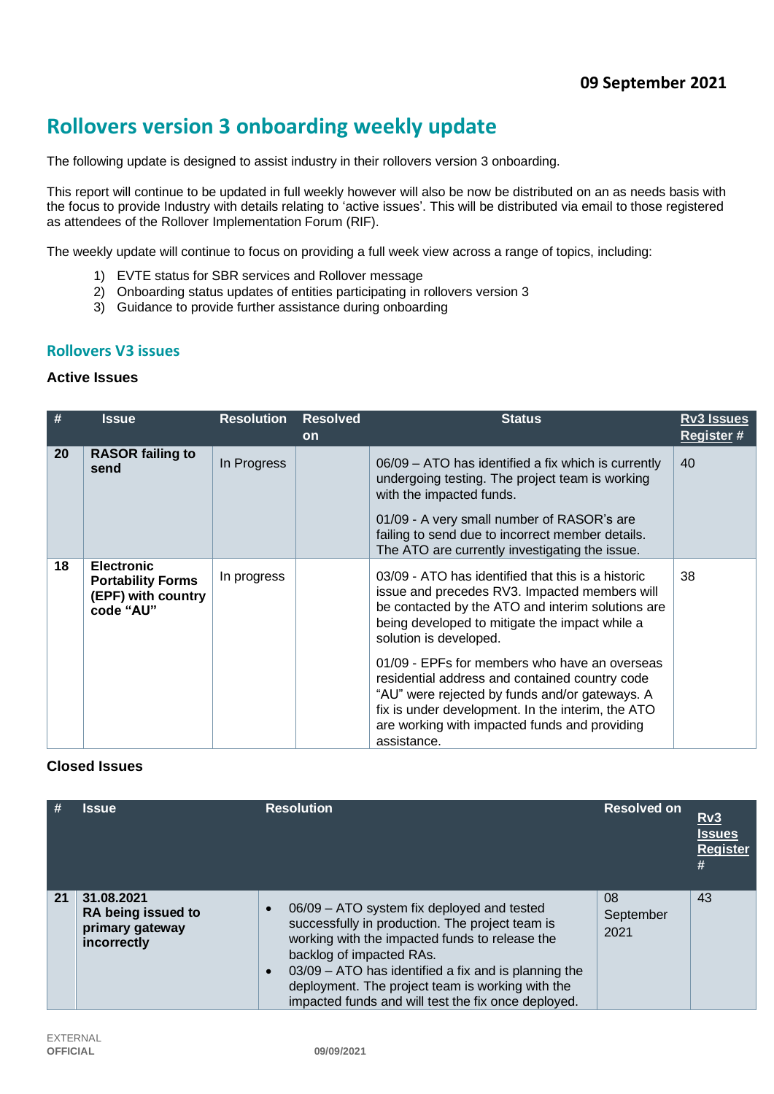# **Rollovers version 3 onboarding weekly update**

The following update is designed to assist industry in their rollovers version 3 onboarding.

This report will continue to be updated in full weekly however will also be now be distributed on an as needs basis with the focus to provide Industry with details relating to 'active issues'. This will be distributed via email to those registered as attendees of the Rollover Implementation Forum (RIF).

The weekly update will continue to focus on providing a full week view across a range of topics, including:

- 1) EVTE status for SBR services and Rollover message
- 2) Onboarding status updates of entities participating in rollovers version 3
- 3) Guidance to provide further assistance during onboarding

## **Rollovers V3 issues**

### **Active Issues**

| #  | <b>Issue</b>                                                                     | <b>Resolution</b> | <b>Resolved</b><br><b>on</b> | <b>Status</b>                                                                                                                                                                                                                                                                                                                                                                                                                                                                                                  | <b>Rv3 Issues</b><br><b>Register#</b> |
|----|----------------------------------------------------------------------------------|-------------------|------------------------------|----------------------------------------------------------------------------------------------------------------------------------------------------------------------------------------------------------------------------------------------------------------------------------------------------------------------------------------------------------------------------------------------------------------------------------------------------------------------------------------------------------------|---------------------------------------|
| 20 | <b>RASOR failing to</b><br>send                                                  | In Progress       |                              | 06/09 – ATO has identified a fix which is currently<br>undergoing testing. The project team is working<br>with the impacted funds.<br>01/09 - A very small number of RASOR's are<br>failing to send due to incorrect member details.<br>The ATO are currently investigating the issue.                                                                                                                                                                                                                         | 40                                    |
| 18 | <b>Electronic</b><br><b>Portability Forms</b><br>(EPF) with country<br>code "AU" | In progress       |                              | 03/09 - ATO has identified that this is a historic<br>issue and precedes RV3. Impacted members will<br>be contacted by the ATO and interim solutions are<br>being developed to mitigate the impact while a<br>solution is developed.<br>01/09 - EPFs for members who have an overseas<br>residential address and contained country code<br>"AU" were rejected by funds and/or gateways. A<br>fix is under development. In the interim, the ATO<br>are working with impacted funds and providing<br>assistance. | 38                                    |

# **Closed Issues**

| #  | <b>Issue</b>                                                       | <b>Resolution</b>                                                                                                                                                                                                                                                                                                                                                        | <b>Resolved on</b>      | Rv3<br><b>Issues</b><br><b>Register</b><br># |
|----|--------------------------------------------------------------------|--------------------------------------------------------------------------------------------------------------------------------------------------------------------------------------------------------------------------------------------------------------------------------------------------------------------------------------------------------------------------|-------------------------|----------------------------------------------|
| 21 | 31.08.2021<br>RA being issued to<br>primary gateway<br>incorrectly | 06/09 – ATO system fix deployed and tested<br>$\bullet$<br>successfully in production. The project team is<br>working with the impacted funds to release the<br>backlog of impacted RAs.<br>03/09 – ATO has identified a fix and is planning the<br>$\bullet$<br>deployment. The project team is working with the<br>impacted funds and will test the fix once deployed. | 08<br>September<br>2021 | 43                                           |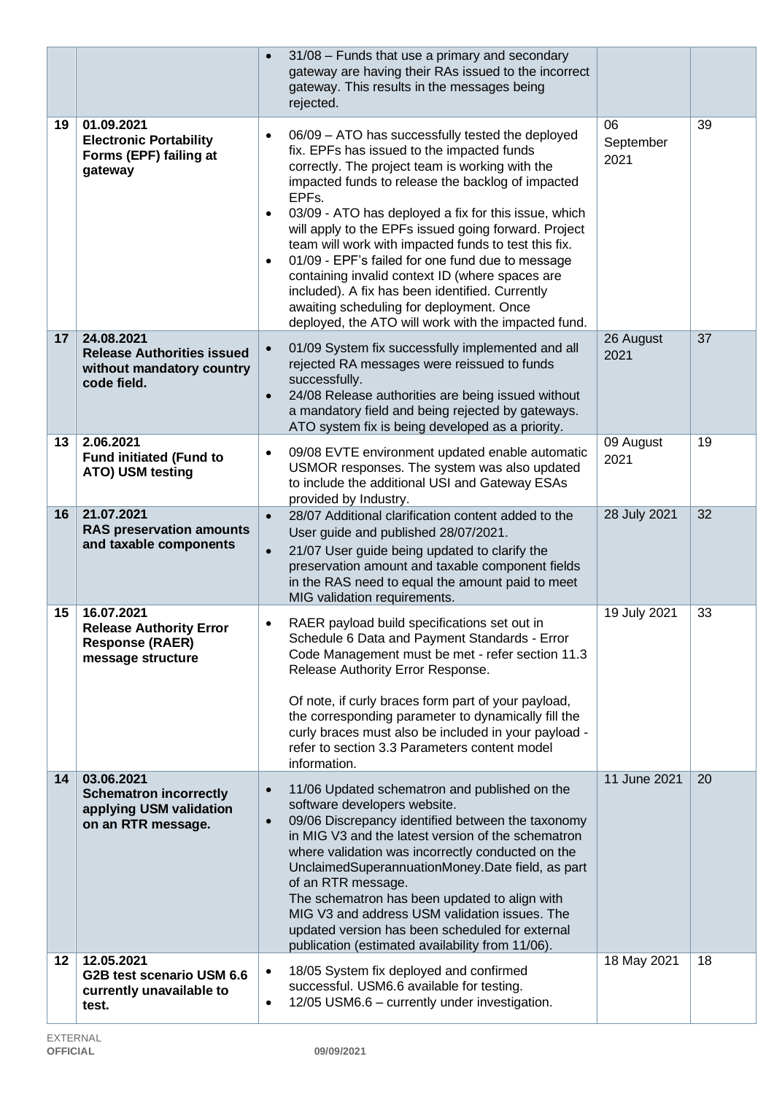|                 |                                                                                              | 31/08 - Funds that use a primary and secondary<br>$\bullet$<br>gateway are having their RAs issued to the incorrect<br>gateway. This results in the messages being<br>rejected.                                                                                                                                                                                                                                                                                                                                                                                                                                                                                     |                         |    |
|-----------------|----------------------------------------------------------------------------------------------|---------------------------------------------------------------------------------------------------------------------------------------------------------------------------------------------------------------------------------------------------------------------------------------------------------------------------------------------------------------------------------------------------------------------------------------------------------------------------------------------------------------------------------------------------------------------------------------------------------------------------------------------------------------------|-------------------------|----|
| 19              | 01.09.2021<br><b>Electronic Portability</b><br>Forms (EPF) failing at<br>gateway             | 06/09 - ATO has successfully tested the deployed<br>٠<br>fix. EPFs has issued to the impacted funds<br>correctly. The project team is working with the<br>impacted funds to release the backlog of impacted<br>EPFs.<br>03/09 - ATO has deployed a fix for this issue, which<br>٠<br>will apply to the EPFs issued going forward. Project<br>team will work with impacted funds to test this fix.<br>01/09 - EPF's failed for one fund due to message<br>٠<br>containing invalid context ID (where spaces are<br>included). A fix has been identified. Currently<br>awaiting scheduling for deployment. Once<br>deployed, the ATO will work with the impacted fund. | 06<br>September<br>2021 | 39 |
| 17              | 24.08.2021<br><b>Release Authorities issued</b><br>without mandatory country<br>code field.  | 01/09 System fix successfully implemented and all<br>$\bullet$<br>rejected RA messages were reissued to funds<br>successfully.<br>24/08 Release authorities are being issued without<br>$\bullet$<br>a mandatory field and being rejected by gateways.<br>ATO system fix is being developed as a priority.                                                                                                                                                                                                                                                                                                                                                          | 26 August<br>2021       | 37 |
| 13              | 2.06.2021<br><b>Fund initiated (Fund to</b><br>ATO) USM testing                              | 09/08 EVTE environment updated enable automatic<br>٠<br>USMOR responses. The system was also updated<br>to include the additional USI and Gateway ESAs<br>provided by Industry.                                                                                                                                                                                                                                                                                                                                                                                                                                                                                     | 09 August<br>2021       | 19 |
| 16              | 21.07.2021<br><b>RAS preservation amounts</b><br>and taxable components                      | 28/07 Additional clarification content added to the<br>$\bullet$<br>User guide and published 28/07/2021.<br>21/07 User guide being updated to clarify the<br>$\bullet$<br>preservation amount and taxable component fields<br>in the RAS need to equal the amount paid to meet<br>MIG validation requirements.                                                                                                                                                                                                                                                                                                                                                      | 28 July 2021            | 32 |
| 15              | 16.07.2021<br><b>Release Authority Error</b><br><b>Response (RAER)</b><br>message structure  | RAER payload build specifications set out in<br>٠<br>Schedule 6 Data and Payment Standards - Error<br>Code Management must be met - refer section 11.3<br>Release Authority Error Response.<br>Of note, if curly braces form part of your payload,<br>the corresponding parameter to dynamically fill the<br>curly braces must also be included in your payload -<br>refer to section 3.3 Parameters content model<br>information.                                                                                                                                                                                                                                  | 19 July 2021            | 33 |
| 14              | 03.06.2021<br><b>Schematron incorrectly</b><br>applying USM validation<br>on an RTR message. | 11/06 Updated schematron and published on the<br>$\bullet$<br>software developers website.<br>09/06 Discrepancy identified between the taxonomy<br>$\bullet$<br>in MIG V3 and the latest version of the schematron<br>where validation was incorrectly conducted on the<br>UnclaimedSuperannuationMoney.Date field, as part<br>of an RTR message.<br>The schematron has been updated to align with<br>MIG V3 and address USM validation issues. The<br>updated version has been scheduled for external<br>publication (estimated availability from 11/06).                                                                                                          | 11 June 2021            | 20 |
| 12 <sub>2</sub> | 12.05.2021<br>G2B test scenario USM 6.6<br>currently unavailable to<br>test.                 | 18/05 System fix deployed and confirmed<br>$\bullet$<br>successful. USM6.6 available for testing.<br>12/05 USM6.6 - currently under investigation.<br>$\bullet$                                                                                                                                                                                                                                                                                                                                                                                                                                                                                                     | 18 May 2021             | 18 |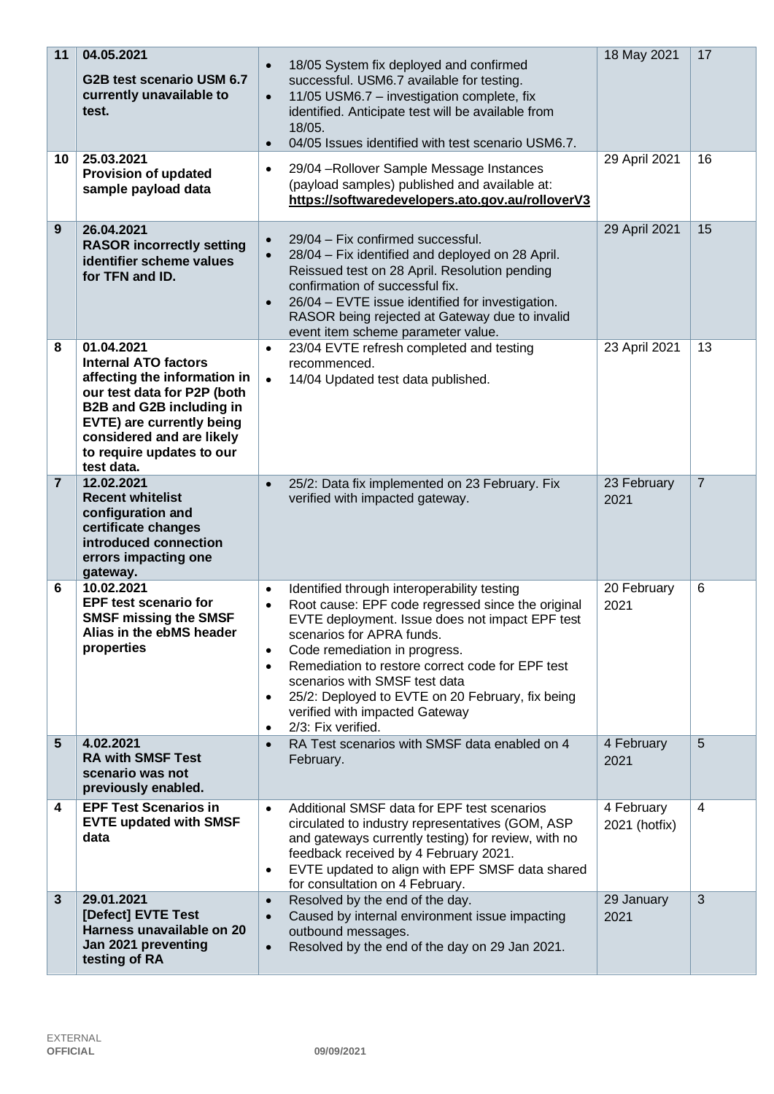| 11<br>10       | 04.05.2021<br>G2B test scenario USM 6.7<br>currently unavailable to<br>test.<br>25.03.2021<br><b>Provision of updated</b><br>sample payload data                                                                                          | 18/05 System fix deployed and confirmed<br>$\bullet$<br>successful. USM6.7 available for testing.<br>11/05 USM6.7 - investigation complete, fix<br>$\bullet$<br>identified. Anticipate test will be available from<br>18/05.<br>04/05 Issues identified with test scenario USM6.7.<br>$\bullet$<br>29/04 - Rollover Sample Message Instances<br>$\bullet$<br>(payload samples) published and available at:<br>https://softwaredevelopers.ato.gov.au/rolloverV3                                   | 18 May 2021<br>29 April 2021 | 17<br>16       |
|----------------|-------------------------------------------------------------------------------------------------------------------------------------------------------------------------------------------------------------------------------------------|--------------------------------------------------------------------------------------------------------------------------------------------------------------------------------------------------------------------------------------------------------------------------------------------------------------------------------------------------------------------------------------------------------------------------------------------------------------------------------------------------|------------------------------|----------------|
| 9              | 26.04.2021<br><b>RASOR incorrectly setting</b><br>identifier scheme values<br>for TFN and ID.                                                                                                                                             | 29/04 - Fix confirmed successful.<br>$\bullet$<br>28/04 - Fix identified and deployed on 28 April.<br>$\bullet$<br>Reissued test on 28 April. Resolution pending<br>confirmation of successful fix.<br>26/04 - EVTE issue identified for investigation.<br>$\bullet$<br>RASOR being rejected at Gateway due to invalid<br>event item scheme parameter value.                                                                                                                                     | 29 April 2021                | 15             |
| 8              | 01.04.2021<br><b>Internal ATO factors</b><br>affecting the information in<br>our test data for P2P (both<br>B2B and G2B including in<br>EVTE) are currently being<br>considered and are likely<br>to require updates to our<br>test data. | 23/04 EVTE refresh completed and testing<br>$\bullet$<br>recommenced.<br>14/04 Updated test data published.<br>$\bullet$                                                                                                                                                                                                                                                                                                                                                                         | 23 April 2021                | 13             |
| $\overline{7}$ | 12.02.2021<br><b>Recent whitelist</b><br>configuration and<br>certificate changes<br>introduced connection<br>errors impacting one<br>gateway.                                                                                            | 25/2: Data fix implemented on 23 February. Fix<br>$\bullet$<br>verified with impacted gateway.                                                                                                                                                                                                                                                                                                                                                                                                   | 23 February<br>2021          | $\overline{7}$ |
| 6              | 10.02.2021<br><b>EPF test scenario for</b><br><b>SMSF missing the SMSF</b><br>Alias in the ebMS header<br>properties                                                                                                                      | Identified through interoperability testing<br>$\bullet$<br>Root cause: EPF code regressed since the original<br>$\bullet$<br>EVTE deployment. Issue does not impact EPF test<br>scenarios for APRA funds.<br>Code remediation in progress.<br>$\bullet$<br>Remediation to restore correct code for EPF test<br>$\bullet$<br>scenarios with SMSF test data<br>25/2: Deployed to EVTE on 20 February, fix being<br>$\bullet$<br>verified with impacted Gateway<br>2/3: Fix verified.<br>$\bullet$ | 20 February<br>2021          | 6              |
| 5              | 4.02.2021<br><b>RA with SMSF Test</b><br>scenario was not<br>previously enabled.                                                                                                                                                          | RA Test scenarios with SMSF data enabled on 4<br>$\bullet$<br>February.                                                                                                                                                                                                                                                                                                                                                                                                                          | 4 February<br>2021           | $5\phantom{1}$ |
| 4              | <b>EPF Test Scenarios in</b><br><b>EVTE updated with SMSF</b><br>data                                                                                                                                                                     | Additional SMSF data for EPF test scenarios<br>$\bullet$<br>circulated to industry representatives (GOM, ASP<br>and gateways currently testing) for review, with no<br>feedback received by 4 February 2021.<br>EVTE updated to align with EPF SMSF data shared<br>$\bullet$<br>for consultation on 4 February.                                                                                                                                                                                  | 4 February<br>2021 (hotfix)  | $\overline{4}$ |
| $\mathbf{3}$   | 29.01.2021<br>[Defect] EVTE Test<br>Harness unavailable on 20<br>Jan 2021 preventing<br>testing of RA                                                                                                                                     | Resolved by the end of the day.<br>$\bullet$<br>Caused by internal environment issue impacting<br>$\bullet$<br>outbound messages.<br>Resolved by the end of the day on 29 Jan 2021.<br>$\bullet$                                                                                                                                                                                                                                                                                                 | 29 January<br>2021           | 3              |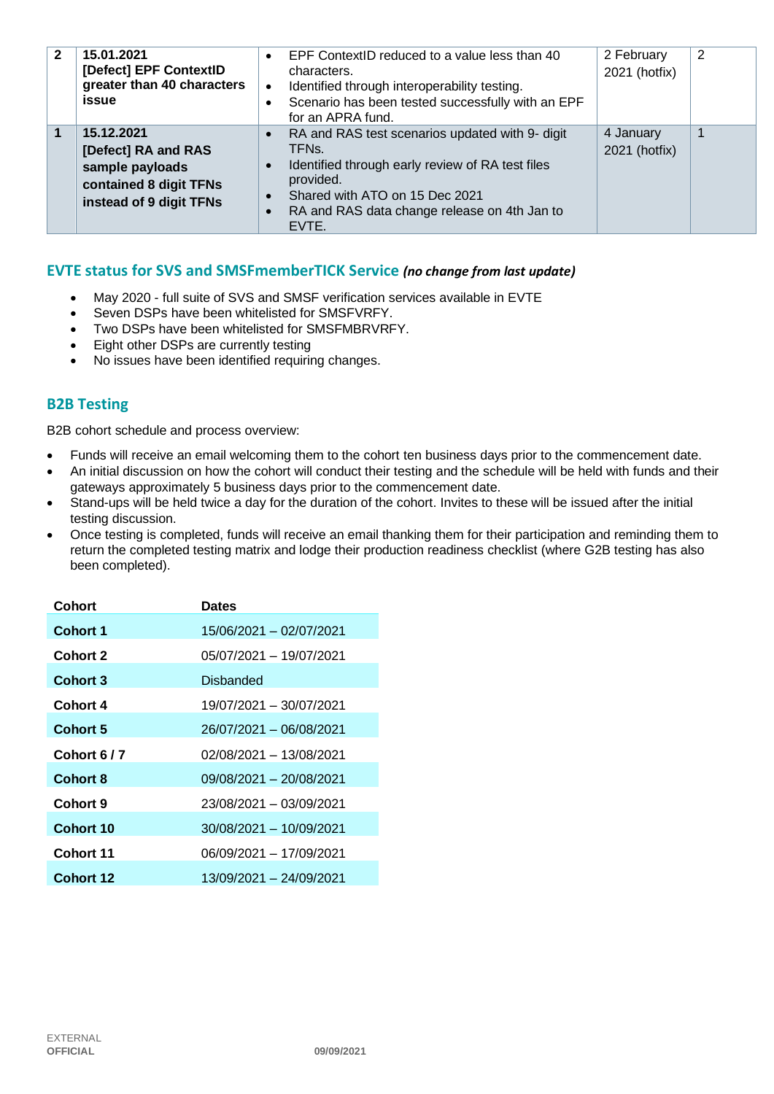| $\mathbf{2}$ | 15.01.2021<br>[Defect] EPF ContextID<br>greater than 40 characters<br>issue                               | EPF ContextID reduced to a value less than 40<br>$\bullet$<br>characters.<br>Identified through interoperability testing.<br>$\bullet$<br>Scenario has been tested successfully with an EPF<br>$\bullet$<br>for an APRA fund.                                                       | 2 February<br>2021 (hotfix) | 2 |
|--------------|-----------------------------------------------------------------------------------------------------------|-------------------------------------------------------------------------------------------------------------------------------------------------------------------------------------------------------------------------------------------------------------------------------------|-----------------------------|---|
|              | 15.12.2021<br>[Defect] RA and RAS<br>sample payloads<br>contained 8 digit TFNs<br>instead of 9 digit TFNs | RA and RAS test scenarios updated with 9- digit<br>$\bullet$<br>TFN <sub>s</sub><br>Identified through early review of RA test files<br>$\bullet$<br>provided.<br>Shared with ATO on 15 Dec 2021<br>$\bullet$<br>RA and RAS data change release on 4th Jan to<br>$\bullet$<br>EVTE. | 4 January<br>2021 (hotfix)  |   |

## **EVTE status for SVS and SMSFmemberTICK Service** *(no change from last update)*

- May 2020 full suite of SVS and SMSF verification services available in EVTE
- Seven DSPs have been whitelisted for SMSFVRFY.
- Two DSPs have been whitelisted for SMSFMBRVRFY.
- Eight other DSPs are currently testing
- No issues have been identified requiring changes.

# **B2B Testing**

B2B cohort schedule and process overview:

- Funds will receive an email welcoming them to the cohort ten business days prior to the commencement date.
- An initial discussion on how the cohort will conduct their testing and the schedule will be held with funds and their gateways approximately 5 business days prior to the commencement date.
- Stand-ups will be held twice a day for the duration of the cohort. Invites to these will be issued after the initial testing discussion.
- Once testing is completed, funds will receive an email thanking them for their participation and reminding them to return the completed testing matrix and lodge their production readiness checklist (where G2B testing has also been completed).

| Cohort           | <b>Dates</b>            |
|------------------|-------------------------|
| <b>Cohort 1</b>  | 15/06/2021 - 02/07/2021 |
| <b>Cohort 2</b>  | 05/07/2021 - 19/07/2021 |
| Cohort 3         | Disbanded               |
| Cohort 4         | 19/07/2021 - 30/07/2021 |
| <b>Cohort 5</b>  | 26/07/2021 - 06/08/2021 |
| Cohort 6/7       | 02/08/2021 - 13/08/2021 |
| <b>Cohort 8</b>  | 09/08/2021 - 20/08/2021 |
| Cohort 9         | 23/08/2021 - 03/09/2021 |
| Cohort 10        | 30/08/2021 - 10/09/2021 |
| <b>Cohort 11</b> | 06/09/2021 - 17/09/2021 |
| Cohort 12        | 13/09/2021 - 24/09/2021 |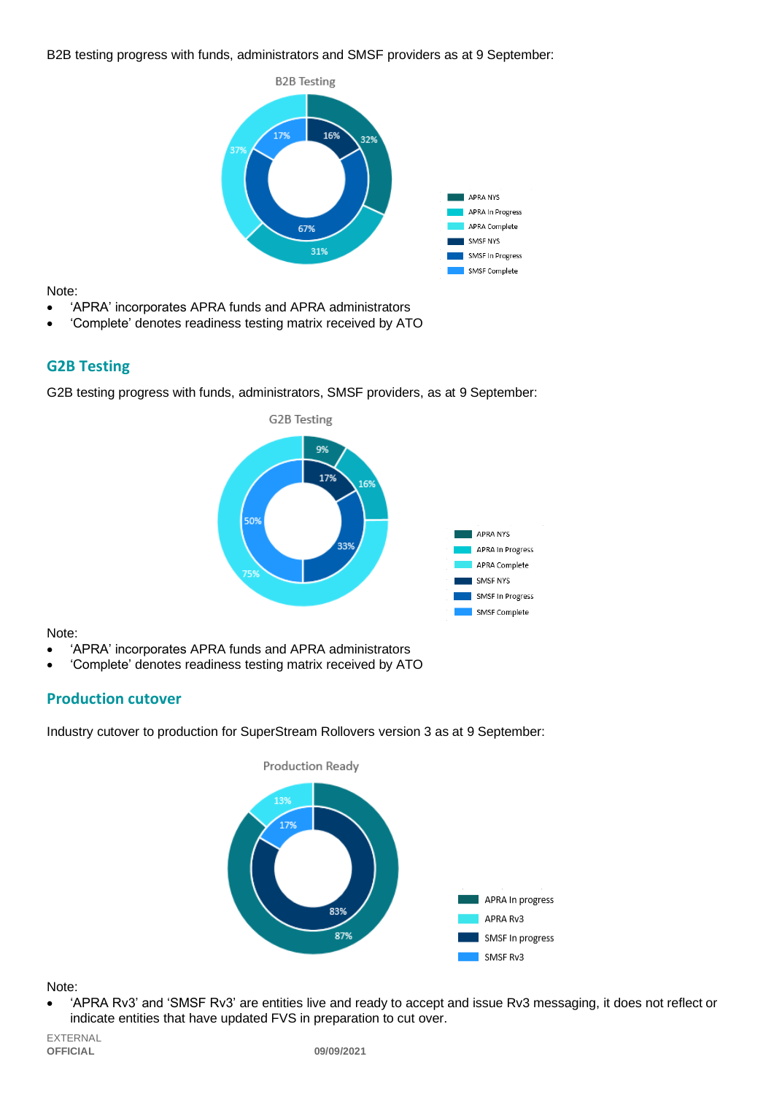#### B2B testing progress with funds, administrators and SMSF providers as at 9 September:



Note:

- 'APRA' incorporates APRA funds and APRA administrators
- 'Complete' denotes readiness testing matrix received by ATO

## **G2B Testing**

G2B testing progress with funds, administrators, SMSF providers, as at 9 September:



Note:

- 'APRA' incorporates APRA funds and APRA administrators
- 'Complete' denotes readiness testing matrix received by ATO

# **Production cutover**

Industry cutover to production for SuperStream Rollovers version 3 as at 9 September:



#### Note:

• 'APRA Rv3' and 'SMSF Rv3' are entities live and ready to accept and issue Rv3 messaging, it does not reflect or indicate entities that have updated FVS in preparation to cut over.

EXTERNAL<br>**OFFICIAL**